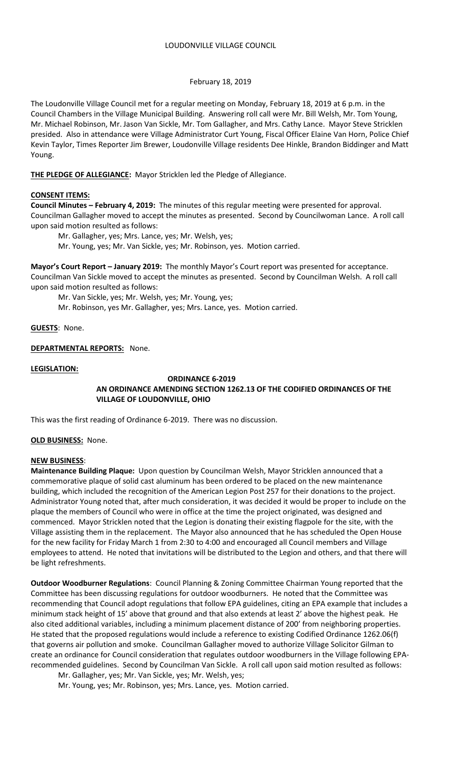## February 18, 2019

The Loudonville Village Council met for a regular meeting on Monday, February 18, 2019 at 6 p.m. in the Council Chambers in the Village Municipal Building. Answering roll call were Mr. Bill Welsh, Mr. Tom Young, Mr. Michael Robinson, Mr. Jason Van Sickle, Mr. Tom Gallagher, and Mrs. Cathy Lance. Mayor Steve Stricklen presided. Also in attendance were Village Administrator Curt Young, Fiscal Officer Elaine Van Horn, Police Chief Kevin Taylor, Times Reporter Jim Brewer, Loudonville Village residents Dee Hinkle, Brandon Biddinger and Matt Young.

**THE PLEDGE OF ALLEGIANCE:** Mayor Stricklen led the Pledge of Allegiance.

## **CONSENT ITEMS:**

**Council Minutes – February 4, 2019:** The minutes of this regular meeting were presented for approval. Councilman Gallagher moved to accept the minutes as presented. Second by Councilwoman Lance. A roll call upon said motion resulted as follows:

Mr. Gallagher, yes; Mrs. Lance, yes; Mr. Welsh, yes;

Mr. Young, yes; Mr. Van Sickle, yes; Mr. Robinson, yes. Motion carried.

**Mayor's Court Report – January 2019:** The monthly Mayor's Court report was presented for acceptance. Councilman Van Sickle moved to accept the minutes as presented. Second by Councilman Welsh. A roll call upon said motion resulted as follows:

Mr. Van Sickle, yes; Mr. Welsh, yes; Mr. Young, yes;

Mr. Robinson, yes Mr. Gallagher, yes; Mrs. Lance, yes. Motion carried.

**GUESTS**: None.

# **DEPARTMENTAL REPORTS:** None.

**LEGISLATION:**

# **ORDINANCE 6-2019 AN ORDINANCE AMENDING SECTION 1262.13 OF THE CODIFIED ORDINANCES OF THE VILLAGE OF LOUDONVILLE, OHIO**

This was the first reading of Ordinance 6-2019. There was no discussion.

# **OLD BUSINESS:** None.

#### **NEW BUSINESS**:

**Maintenance Building Plaque:** Upon question by Councilman Welsh, Mayor Stricklen announced that a commemorative plaque of solid cast aluminum has been ordered to be placed on the new maintenance building, which included the recognition of the American Legion Post 257 for their donations to the project. Administrator Young noted that, after much consideration, it was decided it would be proper to include on the plaque the members of Council who were in office at the time the project originated, was designed and commenced. Mayor Stricklen noted that the Legion is donating their existing flagpole for the site, with the Village assisting them in the replacement. The Mayor also announced that he has scheduled the Open House for the new facility for Friday March 1 from 2:30 to 4:00 and encouraged all Council members and Village employees to attend. He noted that invitations will be distributed to the Legion and others, and that there will be light refreshments.

**Outdoor Woodburner Regulations**: Council Planning & Zoning Committee Chairman Young reported that the Committee has been discussing regulations for outdoor woodburners. He noted that the Committee was recommending that Council adopt regulations that follow EPA guidelines, citing an EPA example that includes a minimum stack height of 15' above that ground and that also extends at least 2' above the highest peak. He also cited additional variables, including a minimum placement distance of 200' from neighboring properties. He stated that the proposed regulations would include a reference to existing Codified Ordinance 1262.06(f) that governs air pollution and smoke. Councilman Gallagher moved to authorize Village Solicitor Gilman to create an ordinance for Council consideration that regulates outdoor woodburners in the Village following EPArecommended guidelines. Second by Councilman Van Sickle. A roll call upon said motion resulted as follows:

Mr. Gallagher, yes; Mr. Van Sickle, yes; Mr. Welsh, yes;

Mr. Young, yes; Mr. Robinson, yes; Mrs. Lance, yes. Motion carried.